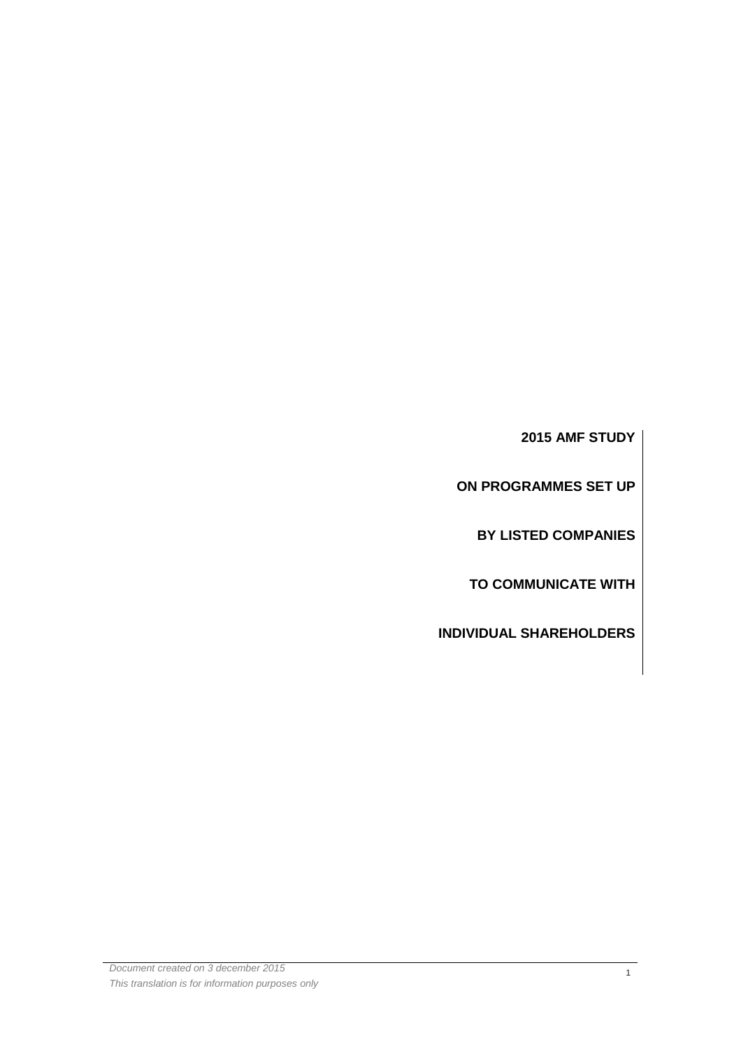**2015 AMF STUDY** 

**ON PROGRAMMES SET UP** 

**BY LISTED COMPANIES** 

**TO COMMUNICATE WITH** 

**INDIVIDUAL SHAREHOLDERS**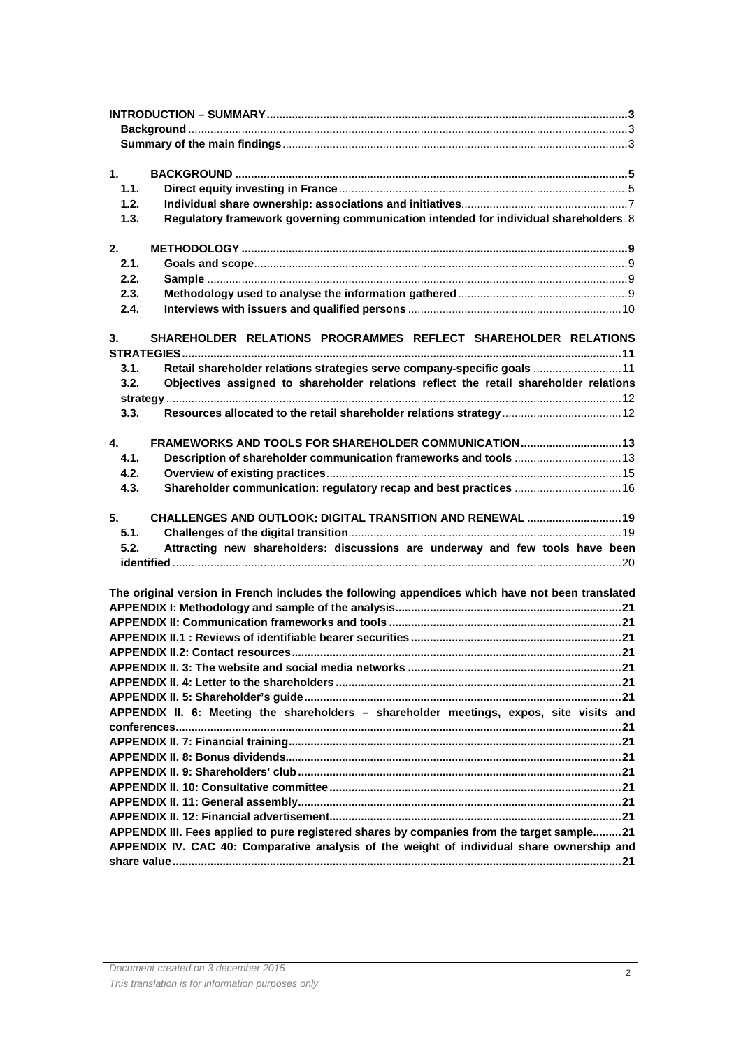| 1.                                                                                          |                                                                                                 |  |  |  |  |  |
|---------------------------------------------------------------------------------------------|-------------------------------------------------------------------------------------------------|--|--|--|--|--|
| 1.1.                                                                                        |                                                                                                 |  |  |  |  |  |
| 1.2.                                                                                        |                                                                                                 |  |  |  |  |  |
| 1.3.                                                                                        | Regulatory framework governing communication intended for individual shareholders.8             |  |  |  |  |  |
|                                                                                             |                                                                                                 |  |  |  |  |  |
| 2.                                                                                          |                                                                                                 |  |  |  |  |  |
| 2.1.                                                                                        |                                                                                                 |  |  |  |  |  |
| 2.2.                                                                                        |                                                                                                 |  |  |  |  |  |
| 2.3.                                                                                        |                                                                                                 |  |  |  |  |  |
| 2.4.                                                                                        |                                                                                                 |  |  |  |  |  |
|                                                                                             |                                                                                                 |  |  |  |  |  |
| 3.                                                                                          | SHAREHOLDER RELATIONS PROGRAMMES REFLECT SHAREHOLDER RELATIONS                                  |  |  |  |  |  |
|                                                                                             |                                                                                                 |  |  |  |  |  |
| 3.1.                                                                                        | Retail shareholder relations strategies serve company-specific goals 11                         |  |  |  |  |  |
| 3.2.                                                                                        | Objectives assigned to shareholder relations reflect the retail shareholder relations           |  |  |  |  |  |
|                                                                                             |                                                                                                 |  |  |  |  |  |
| 3.3.                                                                                        | Resources allocated to the retail shareholder relations strategy 12                             |  |  |  |  |  |
|                                                                                             |                                                                                                 |  |  |  |  |  |
| 4.                                                                                          | FRAMEWORKS AND TOOLS FOR SHAREHOLDER COMMUNICATION  13                                          |  |  |  |  |  |
| 4.1.                                                                                        |                                                                                                 |  |  |  |  |  |
| 4.2.                                                                                        |                                                                                                 |  |  |  |  |  |
| 4.3.                                                                                        | Shareholder communication: regulatory recap and best practices  16                              |  |  |  |  |  |
|                                                                                             |                                                                                                 |  |  |  |  |  |
| 5.                                                                                          | CHALLENGES AND OUTLOOK: DIGITAL TRANSITION AND RENEWAL  19                                      |  |  |  |  |  |
| 5.1.                                                                                        |                                                                                                 |  |  |  |  |  |
| 5.2.                                                                                        | Attracting new shareholders: discussions are underway and few tools have been                   |  |  |  |  |  |
|                                                                                             |                                                                                                 |  |  |  |  |  |
|                                                                                             |                                                                                                 |  |  |  |  |  |
|                                                                                             | The original version in French includes the following appendices which have not been translated |  |  |  |  |  |
|                                                                                             |                                                                                                 |  |  |  |  |  |
|                                                                                             |                                                                                                 |  |  |  |  |  |
|                                                                                             |                                                                                                 |  |  |  |  |  |
|                                                                                             |                                                                                                 |  |  |  |  |  |
|                                                                                             |                                                                                                 |  |  |  |  |  |
|                                                                                             |                                                                                                 |  |  |  |  |  |
|                                                                                             |                                                                                                 |  |  |  |  |  |
|                                                                                             | APPENDIX II. 6: Meeting the shareholders - shareholder meetings, expos, site visits and         |  |  |  |  |  |
|                                                                                             |                                                                                                 |  |  |  |  |  |
|                                                                                             |                                                                                                 |  |  |  |  |  |
|                                                                                             |                                                                                                 |  |  |  |  |  |
|                                                                                             |                                                                                                 |  |  |  |  |  |
|                                                                                             |                                                                                                 |  |  |  |  |  |
|                                                                                             |                                                                                                 |  |  |  |  |  |
|                                                                                             |                                                                                                 |  |  |  |  |  |
| APPENDIX III. Fees applied to pure registered shares by companies from the target sample 21 |                                                                                                 |  |  |  |  |  |
| APPENDIX IV. CAC 40: Comparative analysis of the weight of individual share ownership and   |                                                                                                 |  |  |  |  |  |
|                                                                                             |                                                                                                 |  |  |  |  |  |
|                                                                                             |                                                                                                 |  |  |  |  |  |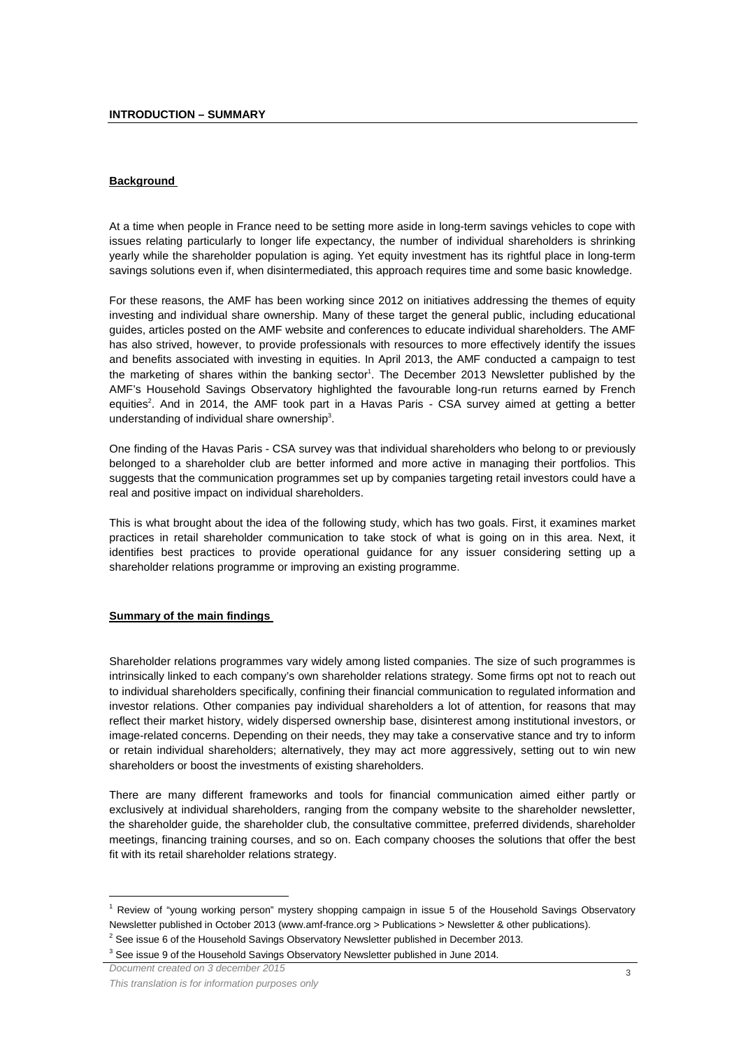#### **Background**

At a time when people in France need to be setting more aside in long-term savings vehicles to cope with issues relating particularly to longer life expectancy, the number of individual shareholders is shrinking yearly while the shareholder population is aging. Yet equity investment has its rightful place in long-term savings solutions even if, when disintermediated, this approach requires time and some basic knowledge.

For these reasons, the AMF has been working since 2012 on initiatives addressing the themes of equity investing and individual share ownership. Many of these target the general public, including educational guides, articles posted on the AMF website and conferences to educate individual shareholders. The AMF has also strived, however, to provide professionals with resources to more effectively identify the issues and benefits associated with investing in equities. In April 2013, the AMF conducted a campaign to test the marketing of shares within the banking sector<sup>1</sup>. The December 2013 Newsletter published by the AMF's Household Savings Observatory highlighted the favourable long-run returns earned by French equities<sup>2</sup>. And in 2014, the AMF took part in a Havas Paris - CSA survey aimed at getting a better understanding of individual share ownership<sup>3</sup>.

One finding of the Havas Paris - CSA survey was that individual shareholders who belong to or previously belonged to a shareholder club are better informed and more active in managing their portfolios. This suggests that the communication programmes set up by companies targeting retail investors could have a real and positive impact on individual shareholders.

This is what brought about the idea of the following study, which has two goals. First, it examines market practices in retail shareholder communication to take stock of what is going on in this area. Next, it identifies best practices to provide operational guidance for any issuer considering setting up a shareholder relations programme or improving an existing programme.

#### **Summary of the main findings**

Shareholder relations programmes vary widely among listed companies. The size of such programmes is intrinsically linked to each company's own shareholder relations strategy. Some firms opt not to reach out to individual shareholders specifically, confining their financial communication to regulated information and investor relations. Other companies pay individual shareholders a lot of attention, for reasons that may reflect their market history, widely dispersed ownership base, disinterest among institutional investors, or image-related concerns. Depending on their needs, they may take a conservative stance and try to inform or retain individual shareholders; alternatively, they may act more aggressively, setting out to win new shareholders or boost the investments of existing shareholders.

There are many different frameworks and tools for financial communication aimed either partly or exclusively at individual shareholders, ranging from the company website to the shareholder newsletter, the shareholder guide, the shareholder club, the consultative committee, preferred dividends, shareholder meetings, financing training courses, and so on. Each company chooses the solutions that offer the best fit with its retail shareholder relations strategy.

 $\overline{a}$ 

<sup>&</sup>lt;sup>1</sup> Review of "young working person" mystery shopping campaign in issue 5 of the Household Savings Observatory Newsletter published in October 2013 (www.amf-france.org > Publications > Newsletter & other publications).

 $2^2$  See issue 6 of the Household Savings Observatory Newsletter published in December 2013.

 $3$  See issue 9 of the Household Savings Observatory Newsletter published in June 2014.

Document created on 3 december 2015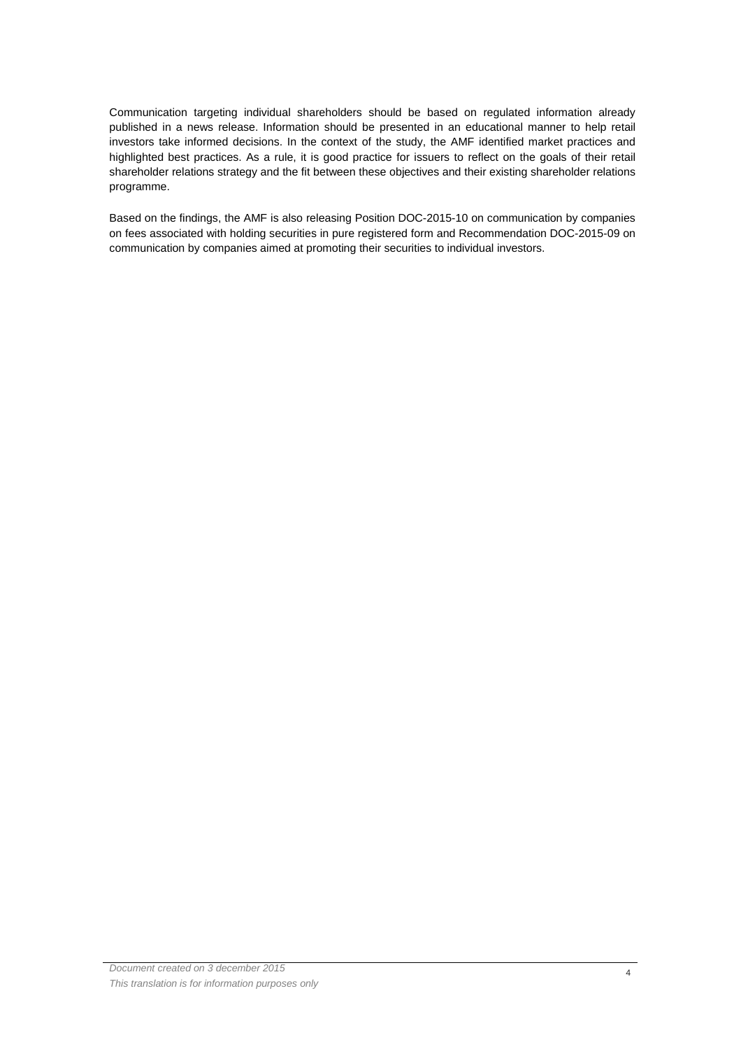Communication targeting individual shareholders should be based on regulated information already published in a news release. Information should be presented in an educational manner to help retail investors take informed decisions. In the context of the study, the AMF identified market practices and highlighted best practices. As a rule, it is good practice for issuers to reflect on the goals of their retail shareholder relations strategy and the fit between these objectives and their existing shareholder relations programme.

Based on the findings, the AMF is also releasing Position DOC-2015-10 on communication by companies on fees associated with holding securities in pure registered form and Recommendation DOC-2015-09 on communication by companies aimed at promoting their securities to individual investors.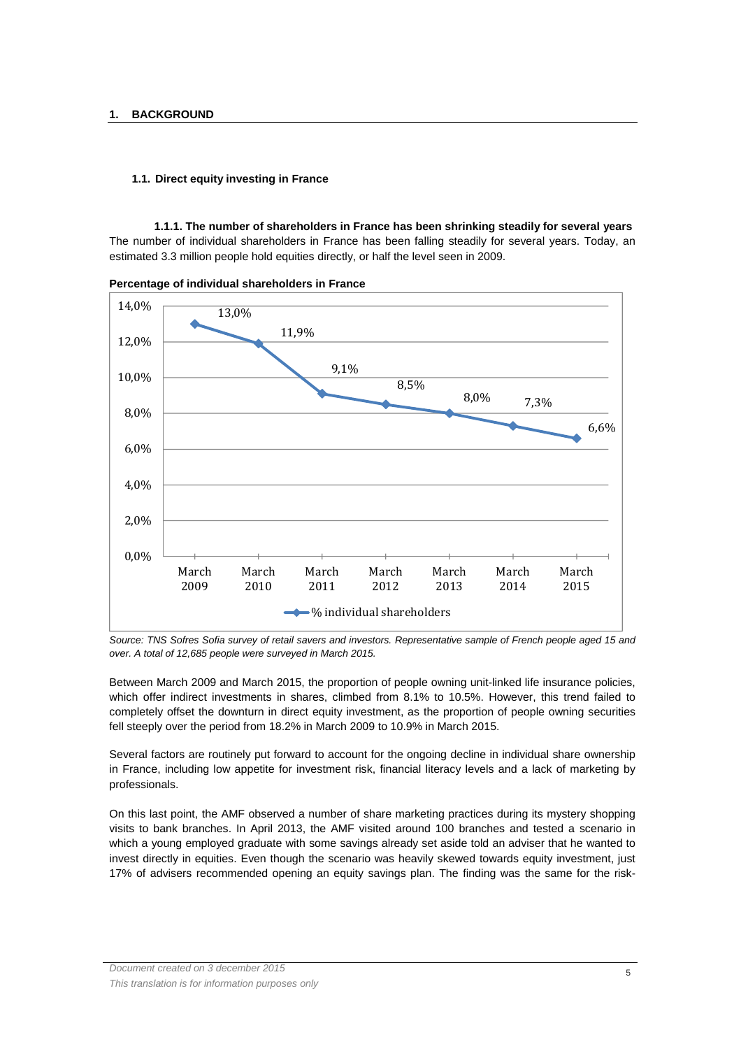## **1.1. Direct equity investing in France**

**1.1.1. The number of shareholders in France has been shrinking steadily for several years**  The number of individual shareholders in France has been falling steadily for several years. Today, an estimated 3.3 million people hold equities directly, or half the level seen in 2009.

13,0% 11,9% 9,1% 8,5% 8,0% 7,3% 6,6% 0,0% 2,0% 4,0% 6,0% 8,0% 10,0% 12,0% 14,0% March 2009 March 2010 March 2011 March 2012 March 2013 March 2014 March 2015 % individual shareholders

**Percentage of individual shareholders in France** 

Source: TNS Sofres Sofia survey of retail savers and investors. Representative sample of French people aged 15 and over. A total of 12,685 people were surveyed in March 2015.

Between March 2009 and March 2015, the proportion of people owning unit-linked life insurance policies, which offer indirect investments in shares, climbed from 8.1% to 10.5%. However, this trend failed to completely offset the downturn in direct equity investment, as the proportion of people owning securities fell steeply over the period from 18.2% in March 2009 to 10.9% in March 2015.

Several factors are routinely put forward to account for the ongoing decline in individual share ownership in France, including low appetite for investment risk, financial literacy levels and a lack of marketing by professionals.

On this last point, the AMF observed a number of share marketing practices during its mystery shopping visits to bank branches. In April 2013, the AMF visited around 100 branches and tested a scenario in which a young employed graduate with some savings already set aside told an adviser that he wanted to invest directly in equities. Even though the scenario was heavily skewed towards equity investment, just 17% of advisers recommended opening an equity savings plan. The finding was the same for the risk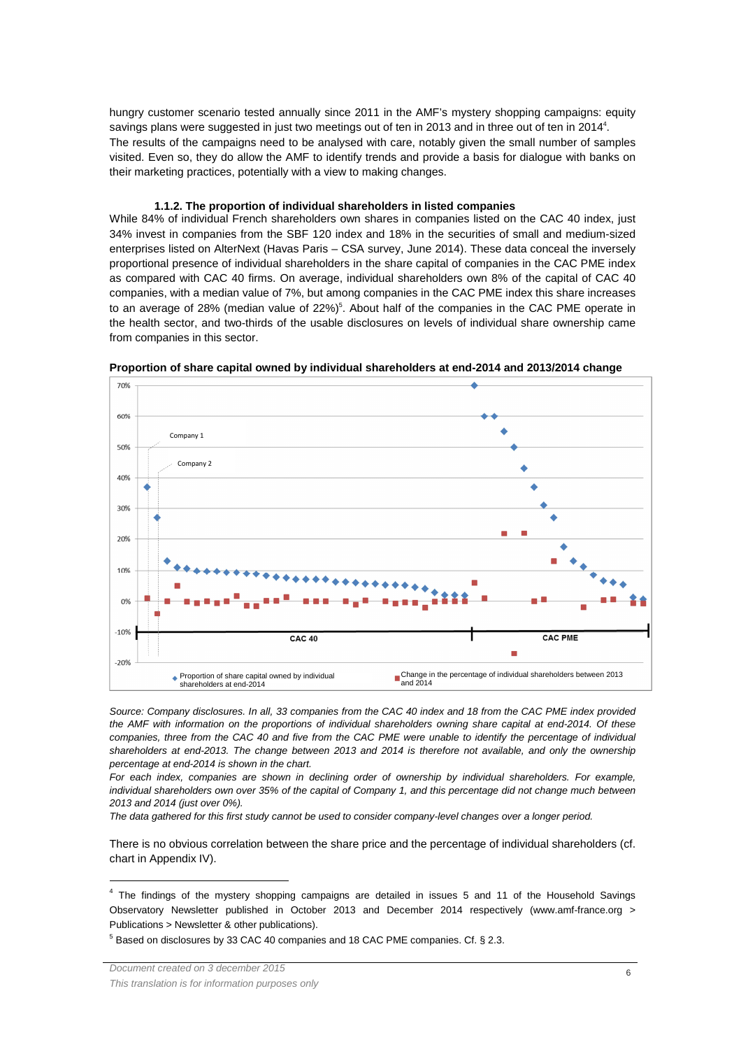hungry customer scenario tested annually since 2011 in the AMF's mystery shopping campaigns: equity savings plans were suggested in just two meetings out of ten in 2013 and in three out of ten in 2014<sup>4</sup>. The results of the campaigns need to be analysed with care, notably given the small number of samples visited. Even so, they do allow the AMF to identify trends and provide a basis for dialogue with banks on their marketing practices, potentially with a view to making changes.

#### **1.1.2. The proportion of individual shareholders in listed companies**

While 84% of individual French shareholders own shares in companies listed on the CAC 40 index, just 34% invest in companies from the SBF 120 index and 18% in the securities of small and medium-sized enterprises listed on AlterNext (Havas Paris – CSA survey, June 2014). These data conceal the inversely proportional presence of individual shareholders in the share capital of companies in the CAC PME index as compared with CAC 40 firms. On average, individual shareholders own 8% of the capital of CAC 40 companies, with a median value of 7%, but among companies in the CAC PME index this share increases to an average of 28% (median value of 22%)<sup>5</sup>. About half of the companies in the CAC PME operate in the health sector, and two-thirds of the usable disclosures on levels of individual share ownership came from companies in this sector.



**Proportion of share capital owned by individual shareholders at end-2014 and 2013/2014 change** 

Source: Company disclosures. In all, 33 companies from the CAC 40 index and 18 from the CAC PME index provided the AMF with information on the proportions of individual shareholders owning share capital at end-2014. Of these companies, three from the CAC 40 and five from the CAC PME were unable to identify the percentage of individual shareholders at end-2013. The change between 2013 and 2014 is therefore not available, and only the ownership percentage at end-2014 is shown in the chart.

For each index, companies are shown in declining order of ownership by individual shareholders. For example, individual shareholders own over 35% of the capital of Company 1, and this percentage did not change much between 2013 and 2014 (just over 0%).

The data gathered for this first study cannot be used to consider company-level changes over a longer period.

There is no obvious correlation between the share price and the percentage of individual shareholders (cf. chart in Appendix IV).

 $5$  Based on disclosures by 33 CAC 40 companies and 18 CAC PME companies. Cf. § 2.3.

l

<sup>&</sup>lt;sup>4</sup> The findings of the mystery shopping campaigns are detailed in issues 5 and 11 of the Household Savings Observatory Newsletter published in October 2013 and December 2014 respectively (www.amf-france.org > Publications > Newsletter & other publications).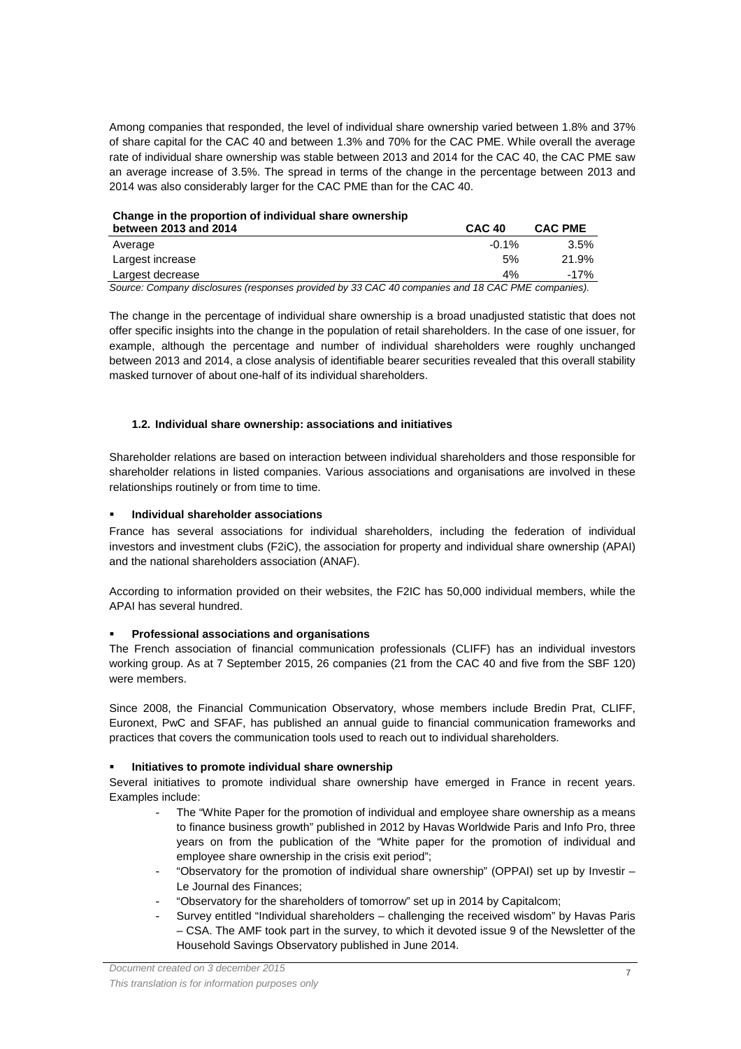Among companies that responded, the level of individual share ownership varied between 1.8% and 37% of share capital for the CAC 40 and between 1.3% and 70% for the CAC PME. While overall the average rate of individual share ownership was stable between 2013 and 2014 for the CAC 40, the CAC PME saw an average increase of 3.5%. The spread in terms of the change in the percentage between 2013 and 2014 was also considerably larger for the CAC PME than for the CAC 40.

| Change in the proportion of individual share ownership |  |
|--------------------------------------------------------|--|
|--------------------------------------------------------|--|

| between 2013 and 2014                                                                             | <b>CAC 40</b> | <b>CAC PME</b> |  |  |
|---------------------------------------------------------------------------------------------------|---------------|----------------|--|--|
| Average                                                                                           | $-0.1\%$      | $3.5\%$        |  |  |
| Largest increase                                                                                  | 5%            | 21.9%          |  |  |
| Largest decrease                                                                                  | 4%            | -17%           |  |  |
| Source: Company disclosures (responses provided by 33 CAC 40 companies and 18 CAC PME companies). |               |                |  |  |

The change in the percentage of individual share ownership is a broad unadjusted statistic that does not offer specific insights into the change in the population of retail shareholders. In the case of one issuer, for example, although the percentage and number of individual shareholders were roughly unchanged between 2013 and 2014, a close analysis of identifiable bearer securities revealed that this overall stability masked turnover of about one-half of its individual shareholders.

#### **1.2. Individual share ownership: associations and initiatives**

Shareholder relations are based on interaction between individual shareholders and those responsible for shareholder relations in listed companies. Various associations and organisations are involved in these relationships routinely or from time to time.

#### **Individual shareholder associations**

France has several associations for individual shareholders, including the federation of individual investors and investment clubs (F2iC), the association for property and individual share ownership (APAI) and the national shareholders association (ANAF).

According to information provided on their websites, the F2IC has 50,000 individual members, while the APAI has several hundred.

#### **Professional associations and organisations**

The French association of financial communication professionals (CLIFF) has an individual investors working group. As at 7 September 2015, 26 companies (21 from the CAC 40 and five from the SBF 120) were members.

Since 2008, the Financial Communication Observatory, whose members include Bredin Prat, CLIFF, Euronext, PwC and SFAF, has published an annual guide to financial communication frameworks and practices that covers the communication tools used to reach out to individual shareholders.

## **Initiatives to promote individual share ownership**

Several initiatives to promote individual share ownership have emerged in France in recent years. Examples include:

- The "White Paper for the promotion of individual and employee share ownership as a means to finance business growth" published in 2012 by Havas Worldwide Paris and Info Pro, three years on from the publication of the "White paper for the promotion of individual and employee share ownership in the crisis exit period";
- "Observatory for the promotion of individual share ownership" (OPPAI) set up by Investir -Le Journal des Finances;
- "Observatory for the shareholders of tomorrow" set up in 2014 by Capitalcom;
- Survey entitled "Individual shareholders challenging the received wisdom" by Havas Paris – CSA. The AMF took part in the survey, to which it devoted issue 9 of the Newsletter of the Household Savings Observatory published in June 2014.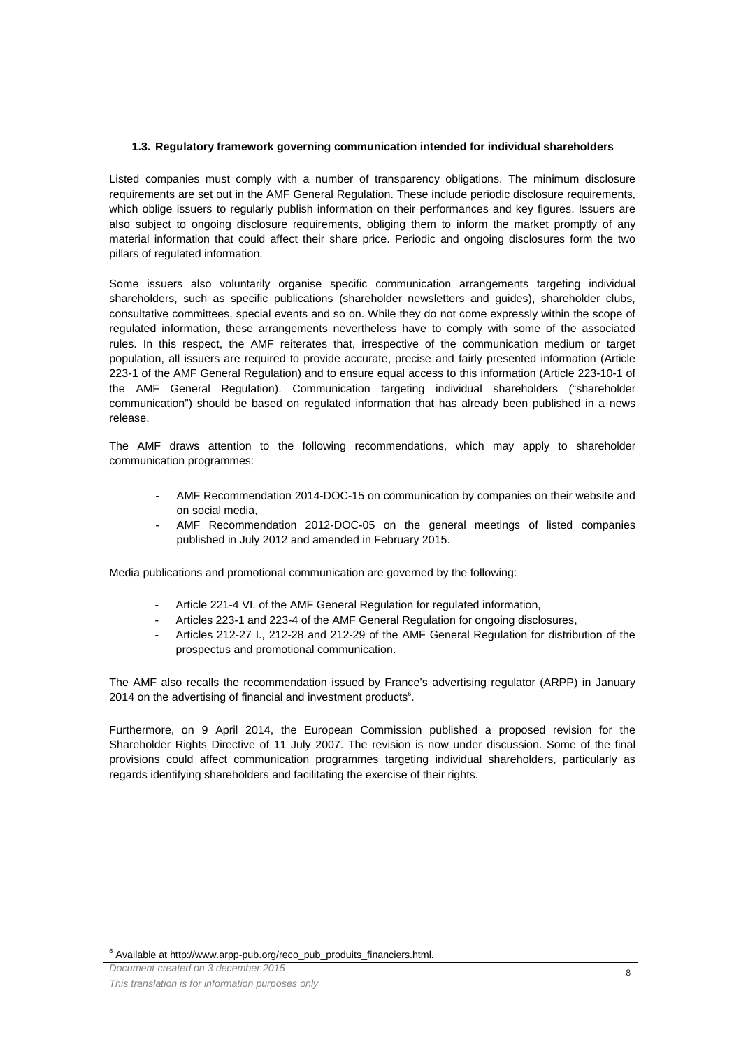#### **1.3. Regulatory framework governing communication intended for individual shareholders**

Listed companies must comply with a number of transparency obligations. The minimum disclosure requirements are set out in the AMF General Regulation. These include periodic disclosure requirements, which oblige issuers to regularly publish information on their performances and key figures. Issuers are also subject to ongoing disclosure requirements, obliging them to inform the market promptly of any material information that could affect their share price. Periodic and ongoing disclosures form the two pillars of regulated information.

Some issuers also voluntarily organise specific communication arrangements targeting individual shareholders, such as specific publications (shareholder newsletters and guides), shareholder clubs, consultative committees, special events and so on. While they do not come expressly within the scope of regulated information, these arrangements nevertheless have to comply with some of the associated rules. In this respect, the AMF reiterates that, irrespective of the communication medium or target population, all issuers are required to provide accurate, precise and fairly presented information (Article 223-1 of the AMF General Regulation) and to ensure equal access to this information (Article 223-10-1 of the AMF General Regulation). Communication targeting individual shareholders ("shareholder communication") should be based on regulated information that has already been published in a news release.

The AMF draws attention to the following recommendations, which may apply to shareholder communication programmes:

- AMF Recommendation 2014-DOC-15 on communication by companies on their website and on social media,
- AMF Recommendation 2012-DOC-05 on the general meetings of listed companies published in July 2012 and amended in February 2015.

Media publications and promotional communication are governed by the following:

- Article 221-4 VI. of the AMF General Regulation for regulated information,
- Articles 223-1 and 223-4 of the AMF General Regulation for ongoing disclosures,
- Articles 212-27 I., 212-28 and 212-29 of the AMF General Regulation for distribution of the prospectus and promotional communication.

The AMF also recalls the recommendation issued by France's advertising regulator (ARPP) in January 2014 on the advertising of financial and investment products<sup>6</sup>.

Furthermore, on 9 April 2014, the European Commission published a proposed revision for the Shareholder Rights Directive of 11 July 2007. The revision is now under discussion. Some of the final provisions could affect communication programmes targeting individual shareholders, particularly as regards identifying shareholders and facilitating the exercise of their rights.

Document created on 3 december 2015

 $\overline{a}$ 

<sup>6</sup> Available at http://www.arpp-pub.org/reco\_pub\_produits\_financiers.html.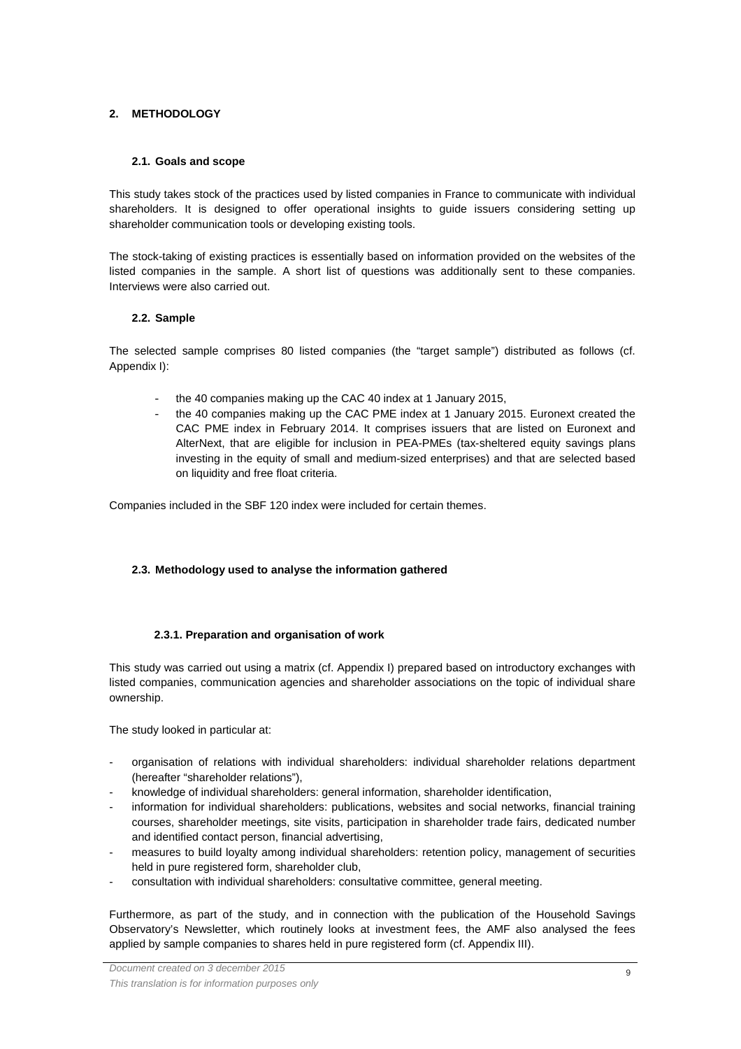# **2. METHODOLOGY**

## **2.1. Goals and scope**

This study takes stock of the practices used by listed companies in France to communicate with individual shareholders. It is designed to offer operational insights to guide issuers considering setting up shareholder communication tools or developing existing tools.

The stock-taking of existing practices is essentially based on information provided on the websites of the listed companies in the sample. A short list of questions was additionally sent to these companies. Interviews were also carried out.

# **2.2. Sample**

The selected sample comprises 80 listed companies (the "target sample") distributed as follows (cf. Appendix I):

- the 40 companies making up the CAC 40 index at 1 January 2015,
- the 40 companies making up the CAC PME index at 1 January 2015. Euronext created the CAC PME index in February 2014. It comprises issuers that are listed on Euronext and AlterNext, that are eligible for inclusion in PEA-PMEs (tax-sheltered equity savings plans investing in the equity of small and medium-sized enterprises) and that are selected based on liquidity and free float criteria.

Companies included in the SBF 120 index were included for certain themes.

# **2.3. Methodology used to analyse the information gathered**

## **2.3.1. Preparation and organisation of work**

This study was carried out using a matrix (cf. Appendix I) prepared based on introductory exchanges with listed companies, communication agencies and shareholder associations on the topic of individual share ownership.

The study looked in particular at:

- organisation of relations with individual shareholders: individual shareholder relations department (hereafter "shareholder relations"),
- knowledge of individual shareholders: general information, shareholder identification,
- information for individual shareholders: publications, websites and social networks, financial training courses, shareholder meetings, site visits, participation in shareholder trade fairs, dedicated number and identified contact person, financial advertising,
- measures to build loyalty among individual shareholders: retention policy, management of securities held in pure registered form, shareholder club,
- consultation with individual shareholders: consultative committee, general meeting.

Furthermore, as part of the study, and in connection with the publication of the Household Savings Observatory's Newsletter, which routinely looks at investment fees, the AMF also analysed the fees applied by sample companies to shares held in pure registered form (cf. Appendix III).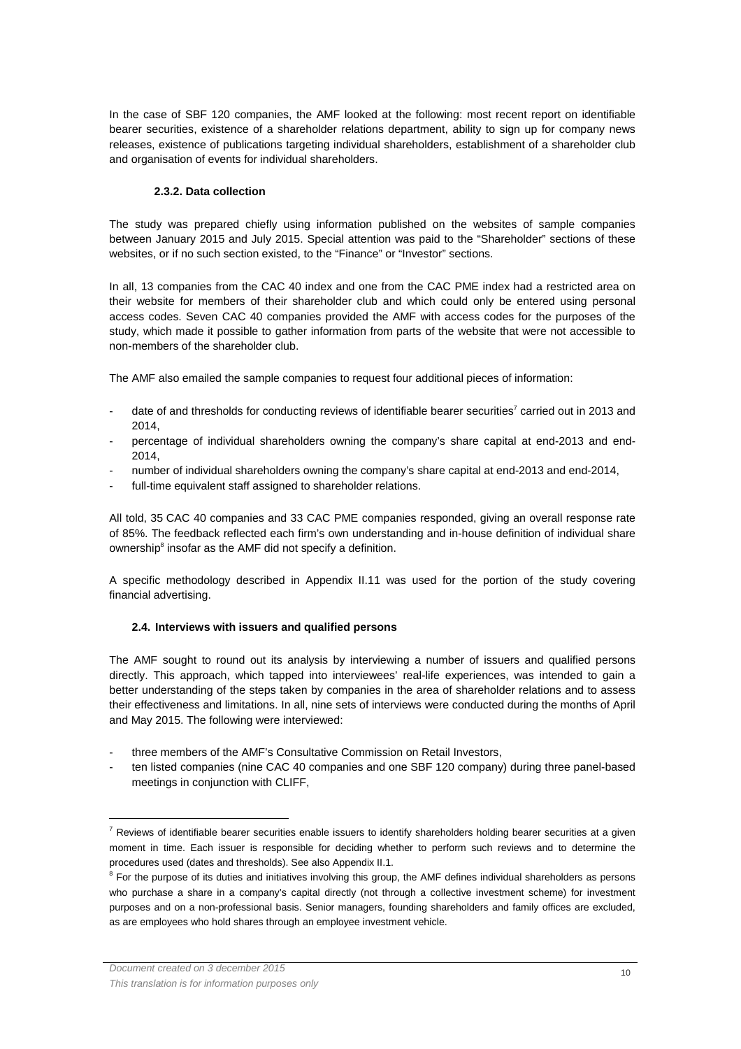In the case of SBF 120 companies, the AMF looked at the following: most recent report on identifiable bearer securities, existence of a shareholder relations department, ability to sign up for company news releases, existence of publications targeting individual shareholders, establishment of a shareholder club and organisation of events for individual shareholders.

# **2.3.2. Data collection**

The study was prepared chiefly using information published on the websites of sample companies between January 2015 and July 2015. Special attention was paid to the "Shareholder" sections of these websites, or if no such section existed, to the "Finance" or "Investor" sections.

In all, 13 companies from the CAC 40 index and one from the CAC PME index had a restricted area on their website for members of their shareholder club and which could only be entered using personal access codes. Seven CAC 40 companies provided the AMF with access codes for the purposes of the study, which made it possible to gather information from parts of the website that were not accessible to non-members of the shareholder club.

The AMF also emailed the sample companies to request four additional pieces of information:

- date of and thresholds for conducting reviews of identifiable bearer securities<sup>7</sup> carried out in 2013 and 2014,
- percentage of individual shareholders owning the company's share capital at end-2013 and end-2014,
- number of individual shareholders owning the company's share capital at end-2013 and end-2014,
- full-time equivalent staff assigned to shareholder relations.

All told, 35 CAC 40 companies and 33 CAC PME companies responded, giving an overall response rate of 85%. The feedback reflected each firm's own understanding and in-house definition of individual share ownership<sup>8</sup> insofar as the AMF did not specify a definition.

A specific methodology described in Appendix II.11 was used for the portion of the study covering financial advertising.

# **2.4. Interviews with issuers and qualified persons**

The AMF sought to round out its analysis by interviewing a number of issuers and qualified persons directly. This approach, which tapped into interviewees' real-life experiences, was intended to gain a better understanding of the steps taken by companies in the area of shareholder relations and to assess their effectiveness and limitations. In all, nine sets of interviews were conducted during the months of April and May 2015. The following were interviewed:

- three members of the AMF's Consultative Commission on Retail Investors,
- ten listed companies (nine CAC 40 companies and one SBF 120 company) during three panel-based meetings in conjunction with CLIFF,

l

 $^7$  Reviews of identifiable bearer securities enable issuers to identify shareholders holding bearer securities at a given moment in time. Each issuer is responsible for deciding whether to perform such reviews and to determine the procedures used (dates and thresholds). See also Appendix II.1.

<sup>&</sup>lt;sup>8</sup> For the purpose of its duties and initiatives involving this group, the AMF defines individual shareholders as persons who purchase a share in a company's capital directly (not through a collective investment scheme) for investment purposes and on a non-professional basis. Senior managers, founding shareholders and family offices are excluded, as are employees who hold shares through an employee investment vehicle.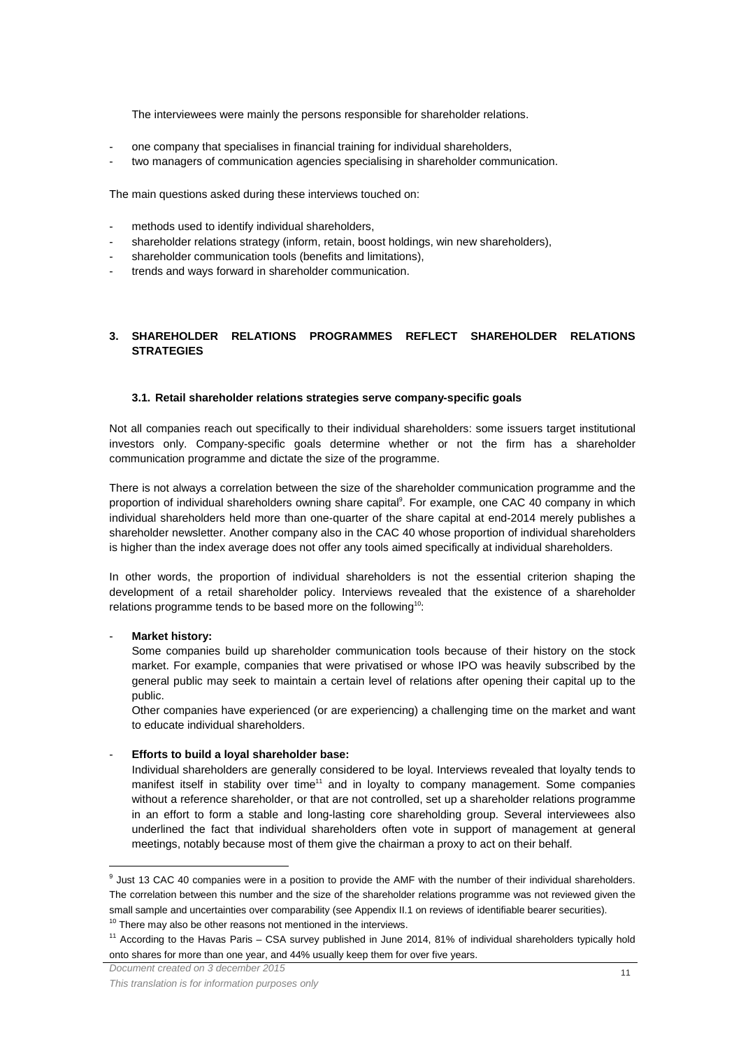The interviewees were mainly the persons responsible for shareholder relations.

- one company that specialises in financial training for individual shareholders,
- two managers of communication agencies specialising in shareholder communication.

The main questions asked during these interviews touched on:

- methods used to identify individual shareholders,
- shareholder relations strategy (inform, retain, boost holdings, win new shareholders),
- shareholder communication tools (benefits and limitations),
- trends and ways forward in shareholder communication.

## **3. SHAREHOLDER RELATIONS PROGRAMMES REFLECT SHAREHOLDER RELATIONS STRATEGIES**

#### **3.1. Retail shareholder relations strategies serve company-specific goals**

Not all companies reach out specifically to their individual shareholders: some issuers target institutional investors only. Company-specific goals determine whether or not the firm has a shareholder communication programme and dictate the size of the programme.

There is not always a correlation between the size of the shareholder communication programme and the proportion of individual shareholders owning share capital<sup>9</sup>. For example, one CAC 40 company in which individual shareholders held more than one-quarter of the share capital at end-2014 merely publishes a shareholder newsletter. Another company also in the CAC 40 whose proportion of individual shareholders is higher than the index average does not offer any tools aimed specifically at individual shareholders.

In other words, the proportion of individual shareholders is not the essential criterion shaping the development of a retail shareholder policy. Interviews revealed that the existence of a shareholder relations programme tends to be based more on the following<sup>10</sup>:

#### - **Market history:**

 $\overline{a}$ 

Some companies build up shareholder communication tools because of their history on the stock market. For example, companies that were privatised or whose IPO was heavily subscribed by the general public may seek to maintain a certain level of relations after opening their capital up to the public.

Other companies have experienced (or are experiencing) a challenging time on the market and want to educate individual shareholders.

#### - **Efforts to build a loyal shareholder base:**

Individual shareholders are generally considered to be loyal. Interviews revealed that loyalty tends to manifest itself in stability over time<sup>11</sup> and in loyalty to company management. Some companies without a reference shareholder, or that are not controlled, set up a shareholder relations programme in an effort to form a stable and long-lasting core shareholding group. Several interviewees also underlined the fact that individual shareholders often vote in support of management at general meetings, notably because most of them give the chairman a proxy to act on their behalf.

<sup>&</sup>lt;sup>9</sup> Just 13 CAC 40 companies were in a position to provide the AMF with the number of their individual shareholders. The correlation between this number and the size of the shareholder relations programme was not reviewed given the small sample and uncertainties over comparability (see Appendix II.1 on reviews of identifiable bearer securities).

 $10$  There may also be other reasons not mentioned in the interviews.

<sup>&</sup>lt;sup>11</sup> According to the Havas Paris – CSA survey published in June 2014, 81% of individual shareholders typically hold onto shares for more than one year, and 44% usually keep them for over five years.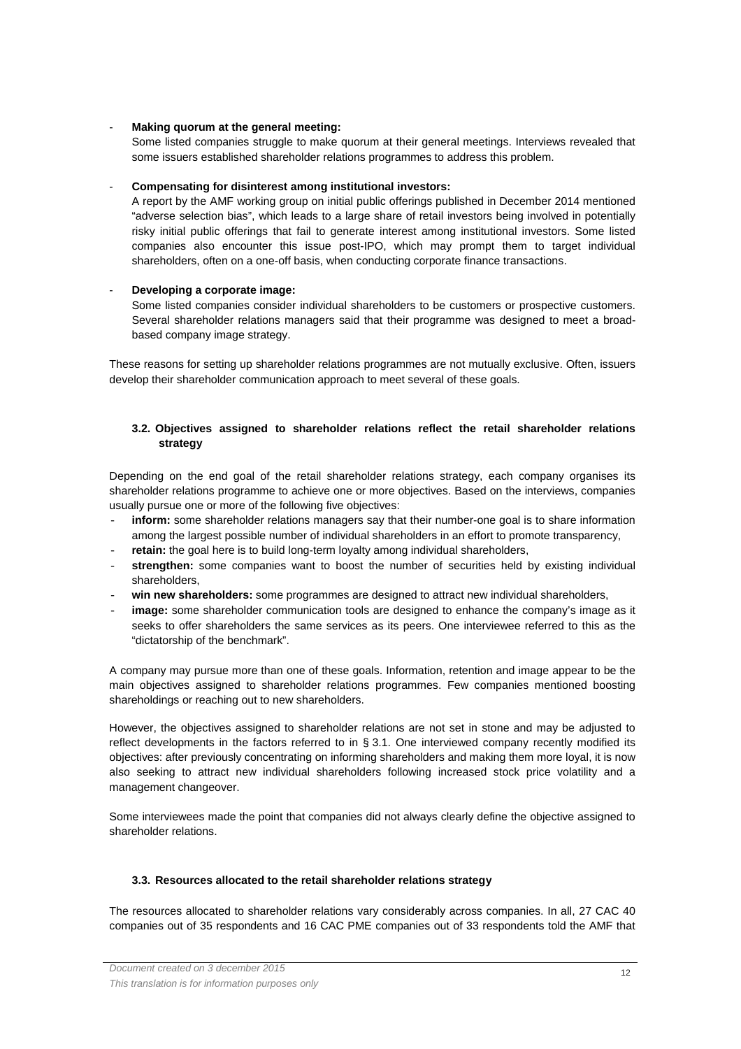## - **Making quorum at the general meeting:**

Some listed companies struggle to make quorum at their general meetings. Interviews revealed that some issuers established shareholder relations programmes to address this problem.

# - **Compensating for disinterest among institutional investors:**

A report by the AMF working group on initial public offerings published in December 2014 mentioned "adverse selection bias", which leads to a large share of retail investors being involved in potentially risky initial public offerings that fail to generate interest among institutional investors. Some listed companies also encounter this issue post-IPO, which may prompt them to target individual shareholders, often on a one-off basis, when conducting corporate finance transactions.

# - **Developing a corporate image:**

Some listed companies consider individual shareholders to be customers or prospective customers. Several shareholder relations managers said that their programme was designed to meet a broadbased company image strategy.

These reasons for setting up shareholder relations programmes are not mutually exclusive. Often, issuers develop their shareholder communication approach to meet several of these goals.

# **3.2. Objectives assigned to shareholder relations reflect the retail shareholder relations strategy**

Depending on the end goal of the retail shareholder relations strategy, each company organises its shareholder relations programme to achieve one or more objectives. Based on the interviews, companies usually pursue one or more of the following five objectives:

- inform: some shareholder relations managers say that their number-one goal is to share information among the largest possible number of individual shareholders in an effort to promote transparency,
- retain: the goal here is to build long-term loyalty among individual shareholders,
- strengthen: some companies want to boost the number of securities held by existing individual shareholders,
- win new shareholders: some programmes are designed to attract new individual shareholders,
- **image:** some shareholder communication tools are designed to enhance the company's image as it seeks to offer shareholders the same services as its peers. One interviewee referred to this as the "dictatorship of the benchmark".

A company may pursue more than one of these goals. Information, retention and image appear to be the main objectives assigned to shareholder relations programmes. Few companies mentioned boosting shareholdings or reaching out to new shareholders.

However, the objectives assigned to shareholder relations are not set in stone and may be adjusted to reflect developments in the factors referred to in § 3.1. One interviewed company recently modified its objectives: after previously concentrating on informing shareholders and making them more loyal, it is now also seeking to attract new individual shareholders following increased stock price volatility and a management changeover.

Some interviewees made the point that companies did not always clearly define the objective assigned to shareholder relations.

## **3.3. Resources allocated to the retail shareholder relations strategy**

The resources allocated to shareholder relations vary considerably across companies. In all, 27 CAC 40 companies out of 35 respondents and 16 CAC PME companies out of 33 respondents told the AMF that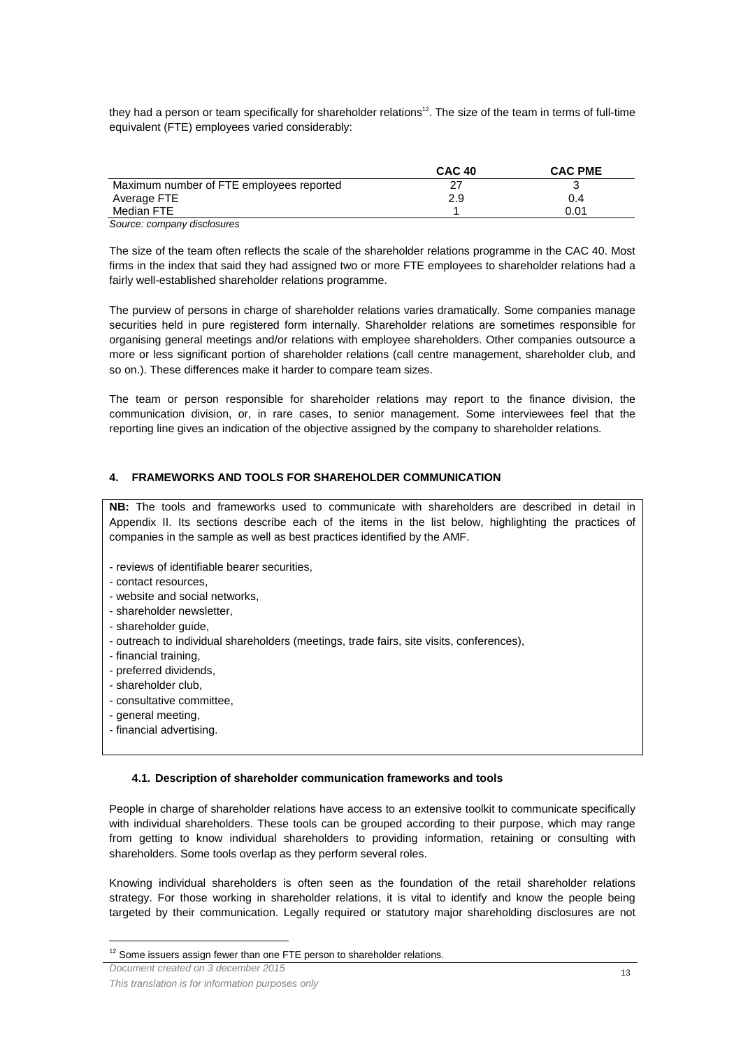they had a person or team specifically for shareholder relations<sup>12</sup>. The size of the team in terms of full-time equivalent (FTE) employees varied considerably:

|                                          | <b>CAC 40</b> | <b>CAC PME</b> |
|------------------------------------------|---------------|----------------|
| Maximum number of FTE employees reported |               |                |
| Average FTE                              | 2.9           | 0.4            |
| Median FTE                               |               | 0.01           |
| Source: company disclosures              |               |                |

The size of the team often reflects the scale of the shareholder relations programme in the CAC 40. Most firms in the index that said they had assigned two or more FTE employees to shareholder relations had a fairly well-established shareholder relations programme.

The purview of persons in charge of shareholder relations varies dramatically. Some companies manage securities held in pure registered form internally. Shareholder relations are sometimes responsible for organising general meetings and/or relations with employee shareholders. Other companies outsource a more or less significant portion of shareholder relations (call centre management, shareholder club, and so on.). These differences make it harder to compare team sizes.

The team or person responsible for shareholder relations may report to the finance division, the communication division, or, in rare cases, to senior management. Some interviewees feel that the reporting line gives an indication of the objective assigned by the company to shareholder relations.

# **4. FRAMEWORKS AND TOOLS FOR SHAREHOLDER COMMUNICATION**

**NB:** The tools and frameworks used to communicate with shareholders are described in detail in Appendix II. Its sections describe each of the items in the list below, highlighting the practices of companies in the sample as well as best practices identified by the AMF.

- reviews of identifiable bearer securities,
- contact resources,
- website and social networks,
- shareholder newsletter,
- shareholder quide.
- outreach to individual shareholders (meetings, trade fairs, site visits, conferences),
- financial training,
- preferred dividends,
- shareholder club,
- consultative committee,
- general meeting,

 $\overline{a}$ 

- financial advertising.

#### **4.1. Description of shareholder communication frameworks and tools**

People in charge of shareholder relations have access to an extensive toolkit to communicate specifically with individual shareholders. These tools can be grouped according to their purpose, which may range from getting to know individual shareholders to providing information, retaining or consulting with shareholders. Some tools overlap as they perform several roles.

Knowing individual shareholders is often seen as the foundation of the retail shareholder relations strategy. For those working in shareholder relations, it is vital to identify and know the people being targeted by their communication. Legally required or statutory major shareholding disclosures are not

 $12$  Some issuers assign fewer than one FTE person to shareholder relations.

Document created on 3 december 2015

This translation is for information purposes only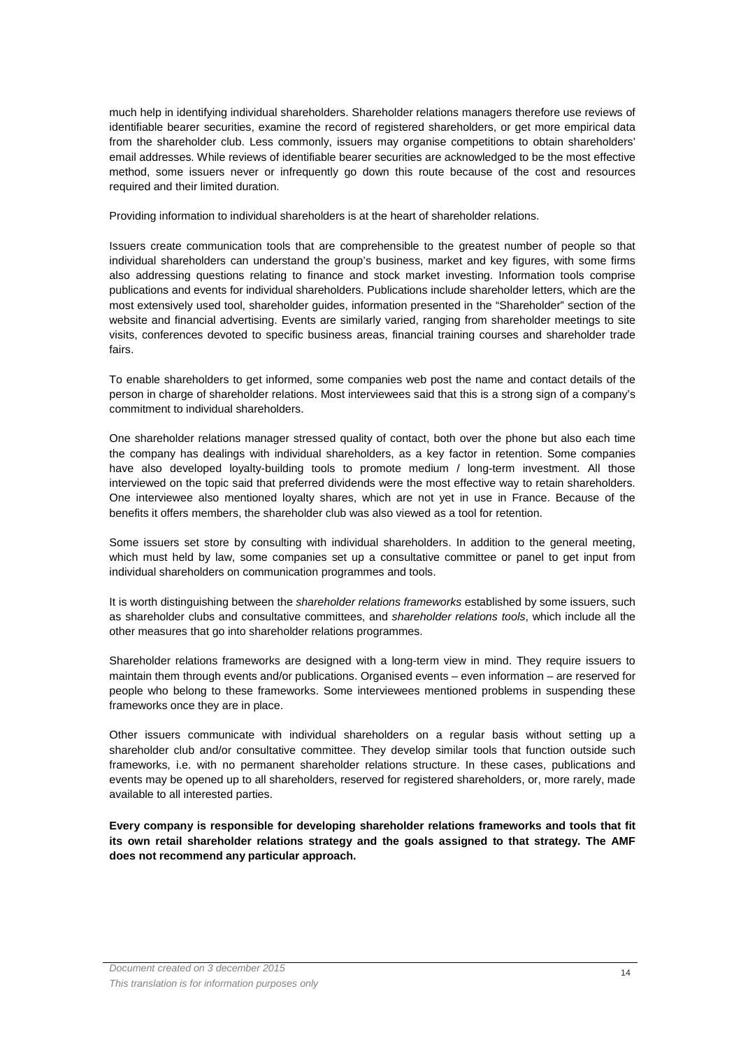much help in identifying individual shareholders. Shareholder relations managers therefore use reviews of identifiable bearer securities, examine the record of registered shareholders, or get more empirical data from the shareholder club. Less commonly, issuers may organise competitions to obtain shareholders' email addresses. While reviews of identifiable bearer securities are acknowledged to be the most effective method, some issuers never or infrequently go down this route because of the cost and resources required and their limited duration.

Providing information to individual shareholders is at the heart of shareholder relations.

Issuers create communication tools that are comprehensible to the greatest number of people so that individual shareholders can understand the group's business, market and key figures, with some firms also addressing questions relating to finance and stock market investing. Information tools comprise publications and events for individual shareholders. Publications include shareholder letters, which are the most extensively used tool, shareholder guides, information presented in the "Shareholder" section of the website and financial advertising. Events are similarly varied, ranging from shareholder meetings to site visits, conferences devoted to specific business areas, financial training courses and shareholder trade fairs.

To enable shareholders to get informed, some companies web post the name and contact details of the person in charge of shareholder relations. Most interviewees said that this is a strong sign of a company's commitment to individual shareholders.

One shareholder relations manager stressed quality of contact, both over the phone but also each time the company has dealings with individual shareholders, as a key factor in retention. Some companies have also developed loyalty-building tools to promote medium / long-term investment. All those interviewed on the topic said that preferred dividends were the most effective way to retain shareholders. One interviewee also mentioned loyalty shares, which are not yet in use in France. Because of the benefits it offers members, the shareholder club was also viewed as a tool for retention.

Some issuers set store by consulting with individual shareholders. In addition to the general meeting, which must held by law, some companies set up a consultative committee or panel to get input from individual shareholders on communication programmes and tools.

It is worth distinguishing between the shareholder relations frameworks established by some issuers, such as shareholder clubs and consultative committees, and shareholder relations tools, which include all the other measures that go into shareholder relations programmes.

Shareholder relations frameworks are designed with a long-term view in mind. They require issuers to maintain them through events and/or publications. Organised events – even information – are reserved for people who belong to these frameworks. Some interviewees mentioned problems in suspending these frameworks once they are in place.

Other issuers communicate with individual shareholders on a regular basis without setting up a shareholder club and/or consultative committee. They develop similar tools that function outside such frameworks, i.e. with no permanent shareholder relations structure. In these cases, publications and events may be opened up to all shareholders, reserved for registered shareholders, or, more rarely, made available to all interested parties.

**Every company is responsible for developing shareholder relations frameworks and tools that fit its own retail shareholder relations strategy and the goals assigned to that strategy. The AMF does not recommend any particular approach.**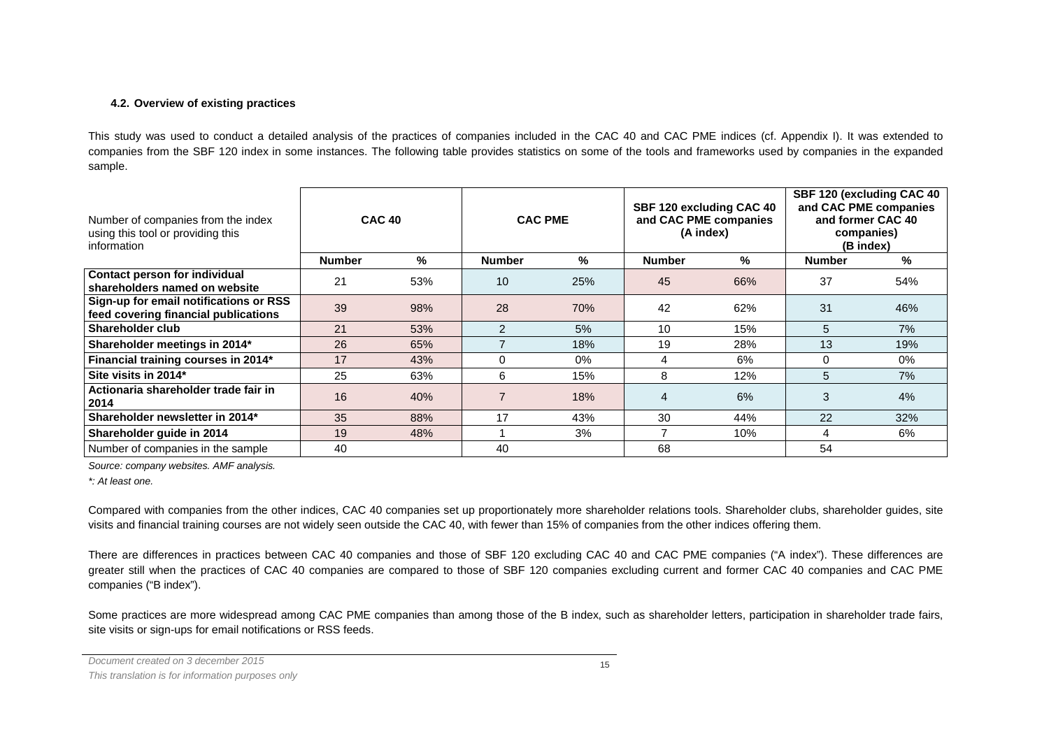# **4.2. Overview of existing practices**

This study was used to conduct a detailed analysis of the practices of companies included in the CAC 40 and CAC PME indices (cf. Appendix I). It was extended to companies from the SBF 120 index in some instances. The following table provides statistics on some of the tools and frameworks used by companies in the expanded sample.

| Number of companies from the index<br>using this tool or providing this<br>information | <b>CAC 40</b> |     | <b>CAC PME</b> |       | SBF 120 excluding CAC 40<br>and CAC PME companies<br>(A index) |     | SBF 120 (excluding CAC 40)<br>and CAC PME companies<br>and former CAC 40<br>companies)<br>(B index) |     |
|----------------------------------------------------------------------------------------|---------------|-----|----------------|-------|----------------------------------------------------------------|-----|-----------------------------------------------------------------------------------------------------|-----|
|                                                                                        | <b>Number</b> | %   | <b>Number</b>  | %     | <b>Number</b>                                                  | %   | <b>Number</b>                                                                                       | %   |
| Contact person for individual<br>shareholders named on website                         | 21            | 53% | 10             | 25%   | 45                                                             | 66% | 37                                                                                                  | 54% |
| Sign-up for email notifications or RSS<br>feed covering financial publications         | 39            | 98% | 28             | 70%   | 42                                                             | 62% | 31                                                                                                  | 46% |
| Shareholder club                                                                       | 21            | 53% | 2              | 5%    | 10                                                             | 15% | 5                                                                                                   | 7%  |
| Shareholder meetings in 2014*                                                          | 26            | 65% |                | 18%   | 19                                                             | 28% | 13                                                                                                  | 19% |
| Financial training courses in 2014*                                                    | 17            | 43% | $\Omega$       | $0\%$ | 4                                                              | 6%  | $\Omega$                                                                                            | 0%  |
| Site visits in 2014*                                                                   | 25            | 63% | 6              | 15%   | 8                                                              | 12% | 5                                                                                                   | 7%  |
| Actionaria shareholder trade fair in<br>2014                                           | 16            | 40% | 7              | 18%   | $\overline{4}$                                                 | 6%  | 3                                                                                                   | 4%  |
| Shareholder newsletter in 2014*                                                        | 35            | 88% | 17             | 43%   | 30                                                             | 44% | 22                                                                                                  | 32% |
| Shareholder quide in 2014                                                              | 19            | 48% |                | 3%    |                                                                | 10% | 4                                                                                                   | 6%  |
| Number of companies in the sample                                                      | 40            |     | 40             |       | 68                                                             |     | 54                                                                                                  |     |

Source: company websites. AMF analysis.

\*: At least one.

Compared with companies from the other indices, CAC 40 companies set up proportionately more shareholder relations tools. Shareholder clubs, shareholder guides, site visits and financial training courses are not widely seen outside the CAC 40, with fewer than 15% of companies from the other indices offering them.

There are differences in practices between CAC 40 companies and those of SBF 120 excluding CAC 40 and CAC PME companies ("A index"). These differences are greater still when the practices of CAC 40 companies are compared to those of SBF 120 companies excluding current and former CAC 40 companies and CAC PME companies ("B index").

Some practices are more widespread among CAC PME companies than among those of the B index, such as shareholder letters, participation in shareholder trade fairs, site visits or sign-ups for email notifications or RSS feeds.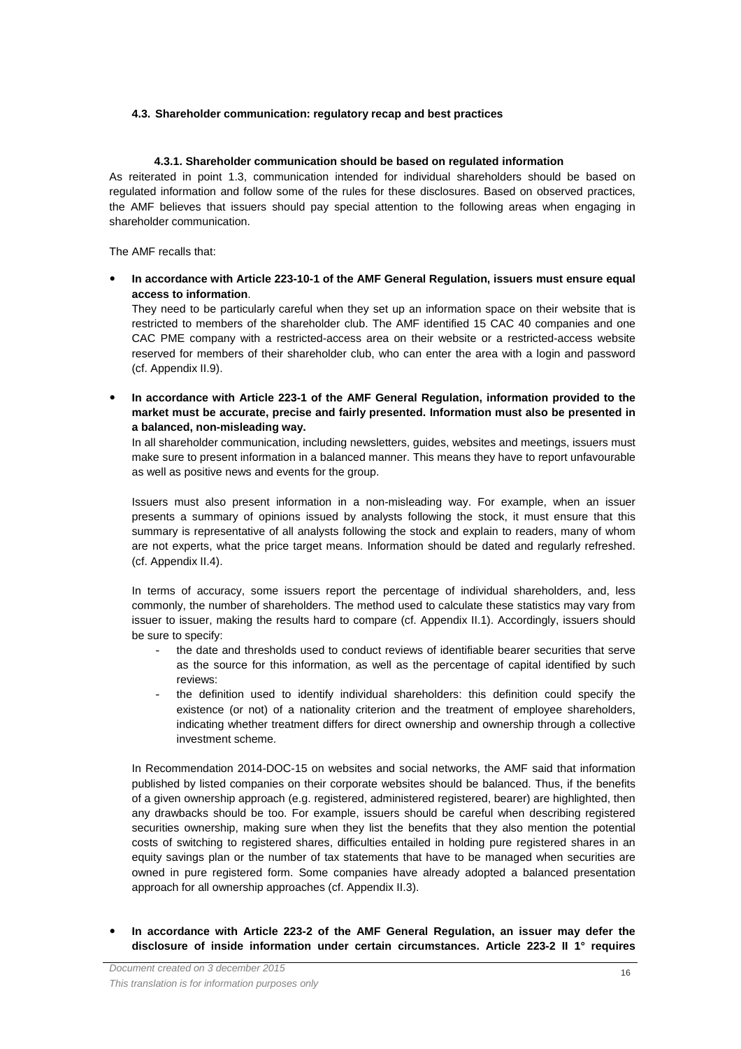#### **4.3. Shareholder communication: regulatory recap and best practices**

#### **4.3.1. Shareholder communication should be based on regulated information**

As reiterated in point 1.3, communication intended for individual shareholders should be based on regulated information and follow some of the rules for these disclosures. Based on observed practices, the AMF believes that issuers should pay special attention to the following areas when engaging in shareholder communication.

The AMF recalls that:

 **In accordance with Article 223-10-1 of the AMF General Regulation, issuers must ensure equal access to information**.

They need to be particularly careful when they set up an information space on their website that is restricted to members of the shareholder club. The AMF identified 15 CAC 40 companies and one CAC PME company with a restricted-access area on their website or a restricted-access website reserved for members of their shareholder club, who can enter the area with a login and password (cf. Appendix II.9).

 **In accordance with Article 223-1 of the AMF General Regulation, information provided to the market must be accurate, precise and fairly presented. Information must also be presented in a balanced, non-misleading way.** 

In all shareholder communication, including newsletters, guides, websites and meetings, issuers must make sure to present information in a balanced manner. This means they have to report unfavourable as well as positive news and events for the group.

Issuers must also present information in a non-misleading way. For example, when an issuer presents a summary of opinions issued by analysts following the stock, it must ensure that this summary is representative of all analysts following the stock and explain to readers, many of whom are not experts, what the price target means. Information should be dated and regularly refreshed. (cf. Appendix II.4).

In terms of accuracy, some issuers report the percentage of individual shareholders, and, less commonly, the number of shareholders. The method used to calculate these statistics may vary from issuer to issuer, making the results hard to compare (cf. Appendix II.1). Accordingly, issuers should be sure to specify:

- the date and thresholds used to conduct reviews of identifiable bearer securities that serve as the source for this information, as well as the percentage of capital identified by such reviews:
- the definition used to identify individual shareholders: this definition could specify the existence (or not) of a nationality criterion and the treatment of employee shareholders, indicating whether treatment differs for direct ownership and ownership through a collective investment scheme.

In Recommendation 2014-DOC-15 on websites and social networks, the AMF said that information published by listed companies on their corporate websites should be balanced. Thus, if the benefits of a given ownership approach (e.g. registered, administered registered, bearer) are highlighted, then any drawbacks should be too. For example, issuers should be careful when describing registered securities ownership, making sure when they list the benefits that they also mention the potential costs of switching to registered shares, difficulties entailed in holding pure registered shares in an equity savings plan or the number of tax statements that have to be managed when securities are owned in pure registered form. Some companies have already adopted a balanced presentation approach for all ownership approaches (cf. Appendix II.3).

 **In accordance with Article 223-2 of the AMF General Regulation, an issuer may defer the disclosure of inside information under certain circumstances. Article 223-2 II 1° requires**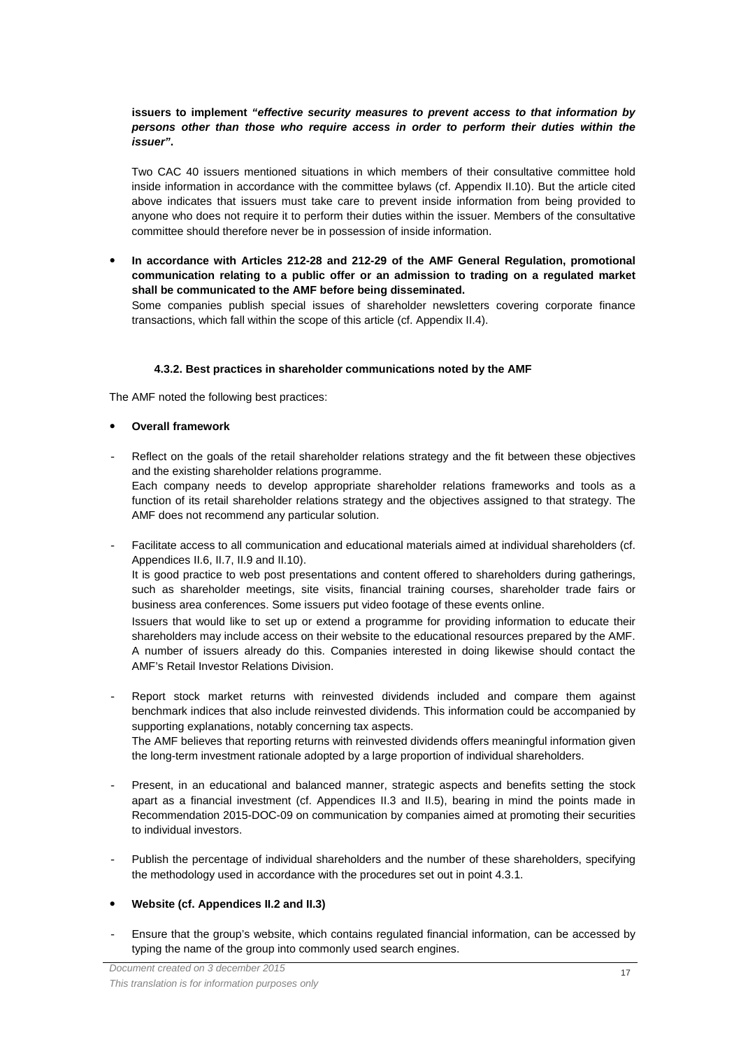# **issuers to implement "effective security measures to prevent access to that information by persons other than those who require access in order to perform their duties within the issuer".**

Two CAC 40 issuers mentioned situations in which members of their consultative committee hold inside information in accordance with the committee bylaws (cf. Appendix II.10). But the article cited above indicates that issuers must take care to prevent inside information from being provided to anyone who does not require it to perform their duties within the issuer. Members of the consultative committee should therefore never be in possession of inside information.

 **In accordance with Articles 212-28 and 212-29 of the AMF General Regulation, promotional communication relating to a public offer or an admission to trading on a regulated market shall be communicated to the AMF before being disseminated.**

Some companies publish special issues of shareholder newsletters covering corporate finance transactions, which fall within the scope of this article (cf. Appendix II.4).

## **4.3.2. Best practices in shareholder communications noted by the AMF**

The AMF noted the following best practices:

#### **Overall framework**

- Reflect on the goals of the retail shareholder relations strategy and the fit between these objectives and the existing shareholder relations programme. Each company needs to develop appropriate shareholder relations frameworks and tools as a function of its retail shareholder relations strategy and the objectives assigned to that strategy. The AMF does not recommend any particular solution.
- Facilitate access to all communication and educational materials aimed at individual shareholders (cf. Appendices II.6, II.7, II.9 and II.10).

It is good practice to web post presentations and content offered to shareholders during gatherings, such as shareholder meetings, site visits, financial training courses, shareholder trade fairs or business area conferences. Some issuers put video footage of these events online.

Issuers that would like to set up or extend a programme for providing information to educate their shareholders may include access on their website to the educational resources prepared by the AMF. A number of issuers already do this. Companies interested in doing likewise should contact the AMF's Retail Investor Relations Division.

- Report stock market returns with reinvested dividends included and compare them against benchmark indices that also include reinvested dividends. This information could be accompanied by supporting explanations, notably concerning tax aspects. The AMF believes that reporting returns with reinvested dividends offers meaningful information given the long-term investment rationale adopted by a large proportion of individual shareholders.
- Present, in an educational and balanced manner, strategic aspects and benefits setting the stock apart as a financial investment (cf. Appendices II.3 and II.5), bearing in mind the points made in Recommendation 2015-DOC-09 on communication by companies aimed at promoting their securities to individual investors.
- Publish the percentage of individual shareholders and the number of these shareholders, specifying the methodology used in accordance with the procedures set out in point 4.3.1.
- **Website (cf. Appendices II.2 and II.3)**
- Ensure that the group's website, which contains regulated financial information, can be accessed by typing the name of the group into commonly used search engines.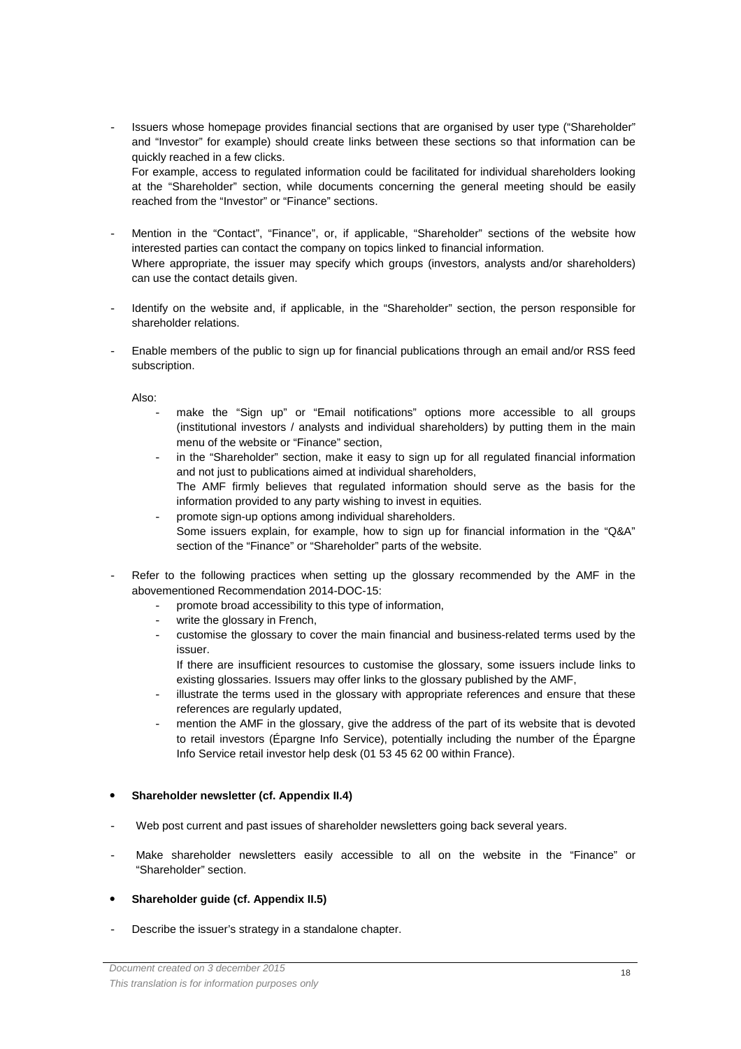Issuers whose homepage provides financial sections that are organised by user type ("Shareholder" and "Investor" for example) should create links between these sections so that information can be quickly reached in a few clicks. For example, access to regulated information could be facilitated for individual shareholders looking

at the "Shareholder" section, while documents concerning the general meeting should be easily reached from the "Investor" or "Finance" sections.

- Mention in the "Contact", "Finance", or, if applicable, "Shareholder" sections of the website how interested parties can contact the company on topics linked to financial information. Where appropriate, the issuer may specify which groups (investors, analysts and/or shareholders) can use the contact details given.
- Identify on the website and, if applicable, in the "Shareholder" section, the person responsible for shareholder relations.
- Enable members of the public to sign up for financial publications through an email and/or RSS feed subscription.

Also:

- make the "Sign up" or "Email notifications" options more accessible to all groups (institutional investors / analysts and individual shareholders) by putting them in the main menu of the website or "Finance" section,
- in the "Shareholder" section, make it easy to sign up for all regulated financial information and not just to publications aimed at individual shareholders, The AMF firmly believes that regulated information should serve as the basis for the information provided to any party wishing to invest in equities.
- promote sign-up options among individual shareholders. Some issuers explain, for example, how to sign up for financial information in the "Q&A" section of the "Finance" or "Shareholder" parts of the website.
- Refer to the following practices when setting up the glossary recommended by the AMF in the abovementioned Recommendation 2014-DOC-15:
	- promote broad accessibility to this type of information,
	- write the glossary in French,
	- customise the glossary to cover the main financial and business-related terms used by the issuer.

If there are insufficient resources to customise the glossary, some issuers include links to existing glossaries. Issuers may offer links to the glossary published by the AMF,

- illustrate the terms used in the glossary with appropriate references and ensure that these references are regularly updated,
- mention the AMF in the glossary, give the address of the part of its website that is devoted to retail investors (Épargne Info Service), potentially including the number of the Épargne Info Service retail investor help desk (01 53 45 62 00 within France).

## **Shareholder newsletter (cf. Appendix II.4)**

- Web post current and past issues of shareholder newsletters going back several years.
- Make shareholder newsletters easily accessible to all on the website in the "Finance" or "Shareholder" section.
- **Shareholder guide (cf. Appendix II.5)**
- Describe the issuer's strategy in a standalone chapter.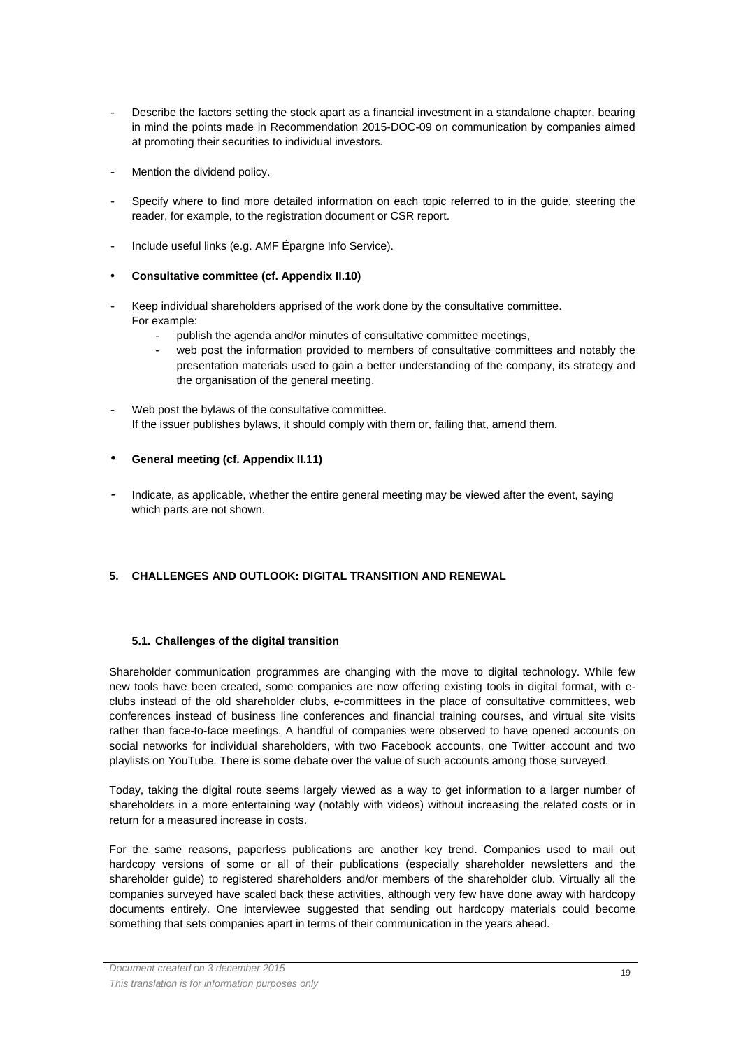- Describe the factors setting the stock apart as a financial investment in a standalone chapter, bearing in mind the points made in Recommendation 2015-DOC-09 on communication by companies aimed at promoting their securities to individual investors.
- Mention the dividend policy.
- Specify where to find more detailed information on each topic referred to in the guide, steering the reader, for example, to the registration document or CSR report.
- Include useful links (e.g. AMF Épargne Info Service).
- **Consultative committee (cf. Appendix II.10)**
- Keep individual shareholders apprised of the work done by the consultative committee. For example:
	- publish the agenda and/or minutes of consultative committee meetings,
	- web post the information provided to members of consultative committees and notably the presentation materials used to gain a better understanding of the company, its strategy and the organisation of the general meeting.
- Web post the bylaws of the consultative committee. If the issuer publishes bylaws, it should comply with them or, failing that, amend them.
- **General meeting (cf. Appendix II.11)**
- Indicate, as applicable, whether the entire general meeting may be viewed after the event, saying which parts are not shown.

## **5. CHALLENGES AND OUTLOOK: DIGITAL TRANSITION AND RENEWAL**

## **5.1. Challenges of the digital transition**

Shareholder communication programmes are changing with the move to digital technology. While few new tools have been created, some companies are now offering existing tools in digital format, with eclubs instead of the old shareholder clubs, e-committees in the place of consultative committees, web conferences instead of business line conferences and financial training courses, and virtual site visits rather than face-to-face meetings. A handful of companies were observed to have opened accounts on social networks for individual shareholders, with two Facebook accounts, one Twitter account and two playlists on YouTube. There is some debate over the value of such accounts among those surveyed.

Today, taking the digital route seems largely viewed as a way to get information to a larger number of shareholders in a more entertaining way (notably with videos) without increasing the related costs or in return for a measured increase in costs.

For the same reasons, paperless publications are another key trend. Companies used to mail out hardcopy versions of some or all of their publications (especially shareholder newsletters and the shareholder guide) to registered shareholders and/or members of the shareholder club. Virtually all the companies surveyed have scaled back these activities, although very few have done away with hardcopy documents entirely. One interviewee suggested that sending out hardcopy materials could become something that sets companies apart in terms of their communication in the years ahead.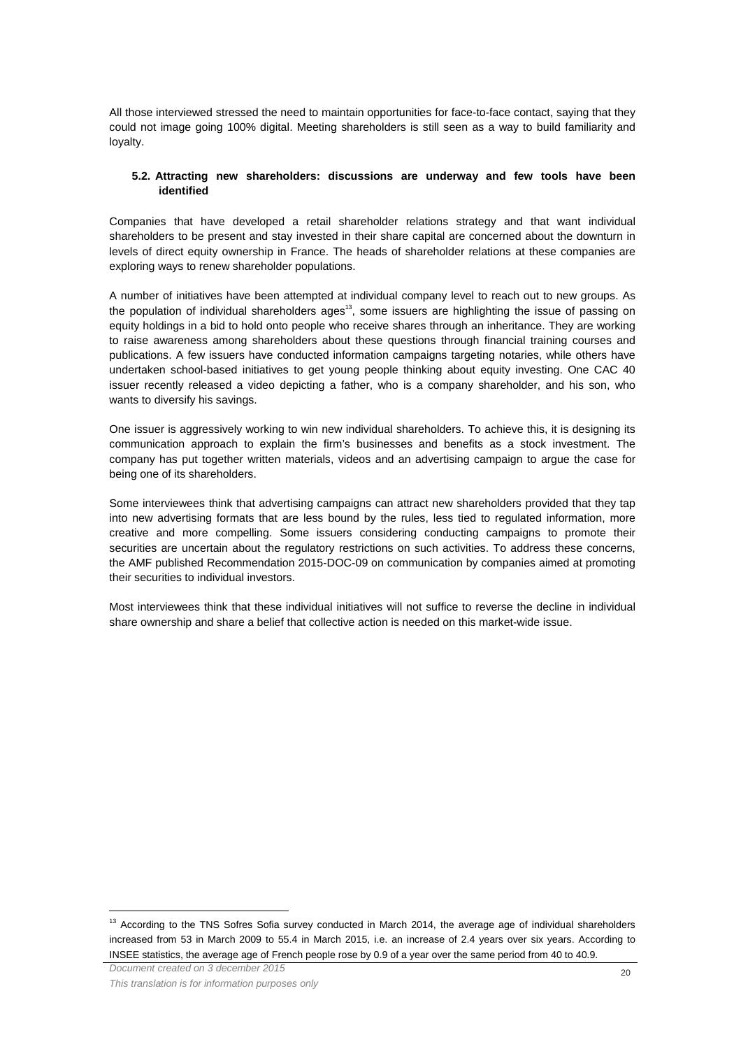All those interviewed stressed the need to maintain opportunities for face-to-face contact, saying that they could not image going 100% digital. Meeting shareholders is still seen as a way to build familiarity and loyalty.

## **5.2. Attracting new shareholders: discussions are underway and few tools have been identified**

Companies that have developed a retail shareholder relations strategy and that want individual shareholders to be present and stay invested in their share capital are concerned about the downturn in levels of direct equity ownership in France. The heads of shareholder relations at these companies are exploring ways to renew shareholder populations.

A number of initiatives have been attempted at individual company level to reach out to new groups. As the population of individual shareholders ages<sup>13</sup>, some issuers are highlighting the issue of passing on equity holdings in a bid to hold onto people who receive shares through an inheritance. They are working to raise awareness among shareholders about these questions through financial training courses and publications. A few issuers have conducted information campaigns targeting notaries, while others have undertaken school-based initiatives to get young people thinking about equity investing. One CAC 40 issuer recently released a video depicting a father, who is a company shareholder, and his son, who wants to diversify his savings.

One issuer is aggressively working to win new individual shareholders. To achieve this, it is designing its communication approach to explain the firm's businesses and benefits as a stock investment. The company has put together written materials, videos and an advertising campaign to argue the case for being one of its shareholders.

Some interviewees think that advertising campaigns can attract new shareholders provided that they tap into new advertising formats that are less bound by the rules, less tied to regulated information, more creative and more compelling. Some issuers considering conducting campaigns to promote their securities are uncertain about the regulatory restrictions on such activities. To address these concerns, the AMF published Recommendation 2015-DOC-09 on communication by companies aimed at promoting their securities to individual investors.

Most interviewees think that these individual initiatives will not suffice to reverse the decline in individual share ownership and share a belief that collective action is needed on this market-wide issue.

 $\overline{a}$ 

<sup>&</sup>lt;sup>13</sup> According to the TNS Sofres Sofia survey conducted in March 2014, the average age of individual shareholders increased from 53 in March 2009 to 55.4 in March 2015, i.e. an increase of 2.4 years over six years. According to INSEE statistics, the average age of French people rose by 0.9 of a year over the same period from 40 to 40.9.